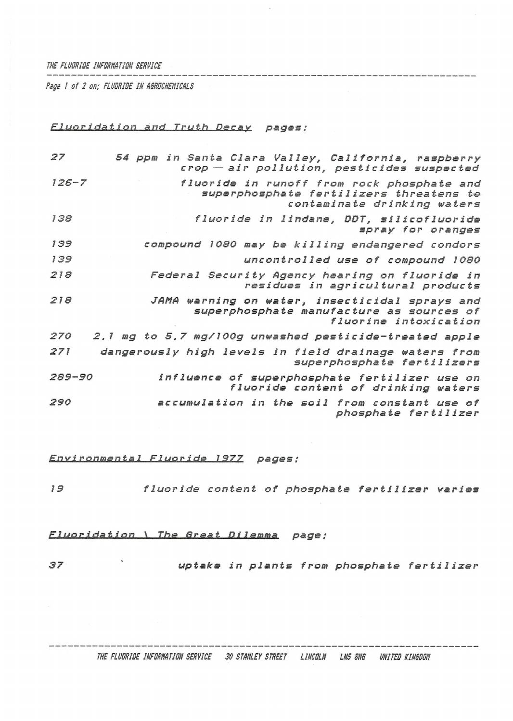#### *THE FLUORIDE INFORMATION SERVICE*

*Rags ! of 2 on; FLUORIDE IN ASROCHENICALS*

#### *Fluoridation and Truth Dscav pages;*

| 27        | 54 ppm in Santa Clara Valley, California, raspberry<br>crop - air pollution, pesticides suspected                    |
|-----------|----------------------------------------------------------------------------------------------------------------------|
| $126 - 7$ | fluoride in runoff from rock phosphate and<br>superphosphate fertilizers threatens to<br>contaminate drinking waters |
| 138       | fluoride in lindane, DDT, silicofluoride<br>spray for oranges                                                        |
| 139       | compound 1080 may be killing endangered condors                                                                      |
| 139       | uncontrolled use of compound 1080                                                                                    |
| 218       | Federal Security Agency hearing on fluoride in<br>residues in agricultural products                                  |
| 218       | JAMA warning on water, insecticidal sprays and<br>superphosphate manufacture as sources of<br>fluorine intoxication  |
| 270       | 2.1 mg to 5.7 mg/100g unwashed pesticide-treated apple                                                               |
| 271       | dangerously high levels in field drainage waters from<br>superphosphate fertilizers                                  |
| 289-90    | influence of superphosphate fertilizer use on<br>fluoride content of drinking waters                                 |
| 290       | accumulation in the soil from constant use of<br>phosphate fertilizer                                                |

## *Environmental Fluoride\_\_1977 pages :*

*<sup>19</sup> fluoride content of phosphate fertilizer varies*

#### *Fluoridation \\_\_T.he Great Di lemma page:*

*<sup>37</sup> uptake in plants from phosphate fertilizer*